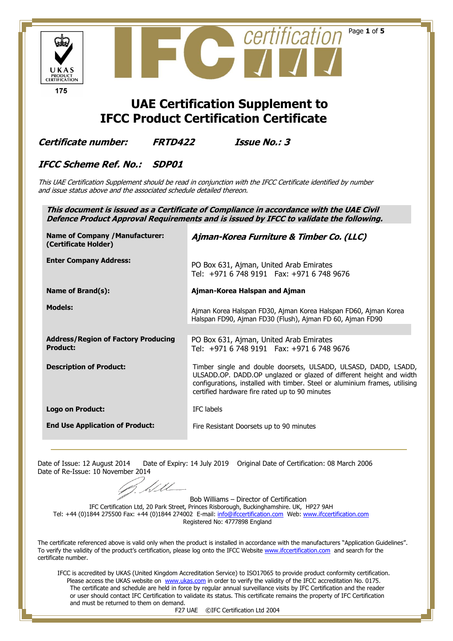

Date of Issue: 12 August 2014 Date of Expiry: 14 July 2019 Original Date of Certification: 08 March 2006 Date of Re-Issue: 10 November 2014

Bob Williams – Director of Certification

IFC Certification Ltd, 20 Park Street, Princes Risborough, Buckinghamshire. UK, HP27 9AH Tel: +44 (0)1844 275500 Fax: +44 (0)1844 274002 E-mail: [info@ifccertification.com](mailto:info@ifccertification.com) Web[: www.ifccertification.com](http://www.ifccertification.com/) Registered No: 4777898 England

The certificate referenced above is valid only when the product is installed in accordance with the manufacturers "Application Guidelines". To verify the validity of the product's certification, please log onto the IFCC Website [www.ifccertification.com](http://www.ifccertification.com/) and search for the certificate number.

The certificate and schedule are held in force by regular annual surveillance visits by IFC Certification and the reader or user should contact IFC Certification to validate its status. This certificate remains the property of IFC Certification and must be returned to them on demand. IFCC is accredited by UKAS (United Kingdom Accreditation Service) to ISO17065 to provide product conformity certification. Please access the UKAS website on [www.ukas.com](http://www.ukas.com/) in order to verify the validity of the IFCC accreditation No. 0175.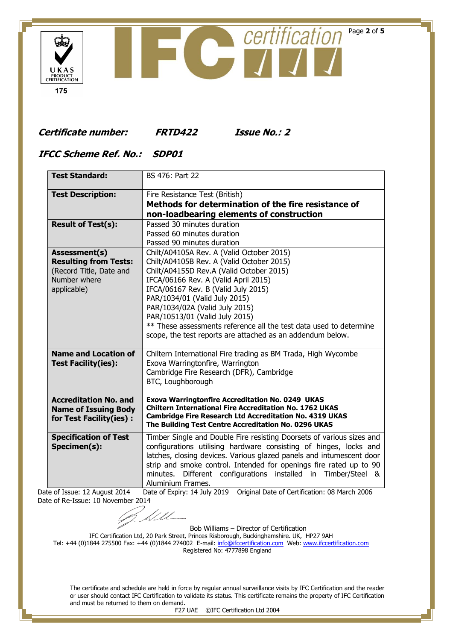

## **Certificate number: FRTD422 Issue No.: 2**

## **IFCC Scheme Ref. No.: SDP01**

| <b>Test Standard:</b>         | BS 476: Part 22                                                                                                        |
|-------------------------------|------------------------------------------------------------------------------------------------------------------------|
| <b>Test Description:</b>      | Fire Resistance Test (British)                                                                                         |
|                               | Methods for determination of the fire resistance of                                                                    |
|                               | non-loadbearing elements of construction                                                                               |
| <b>Result of Test(s):</b>     | Passed 30 minutes duration                                                                                             |
|                               | Passed 60 minutes duration                                                                                             |
|                               | Passed 90 minutes duration                                                                                             |
| Assessment(s)                 | Chilt/A04105A Rev. A (Valid October 2015)                                                                              |
| <b>Resulting from Tests:</b>  | Chilt/A04105B Rev. A (Valid October 2015)                                                                              |
| (Record Title, Date and       | Chilt/A04155D Rev.A (Valid October 2015)                                                                               |
| Number where                  | IFCA/06166 Rev. A (Valid April 2015)                                                                                   |
| applicable)                   | IFCA/06167 Rev. B (Valid July 2015)                                                                                    |
|                               | PAR/1034/01 (Valid July 2015)                                                                                          |
|                               | PAR/1034/02A (Valid July 2015)                                                                                         |
|                               | PAR/10513/01 (Valid July 2015)                                                                                         |
|                               | ** These assessments reference all the test data used to determine                                                     |
|                               | scope, the test reports are attached as an addendum below.                                                             |
| <b>Name and Location of</b>   | Chiltern International Fire trading as BM Trada, High Wycombe                                                          |
| <b>Test Facility(ies):</b>    | Exova Warringtonfire, Warrington                                                                                       |
|                               | Cambridge Fire Research (DFR), Cambridge                                                                               |
|                               | BTC, Loughborough                                                                                                      |
| <b>Accreditation No. and</b>  | <b>Exova Warringtonfire Accreditation No. 0249 UKAS</b>                                                                |
| <b>Name of Issuing Body</b>   | <b>Chiltern International Fire Accreditation No. 1762 UKAS</b>                                                         |
| for Test Facility(ies):       | <b>Cambridge Fire Research Ltd Accreditation No. 4319 UKAS</b><br>The Building Test Centre Accreditation No. 0296 UKAS |
|                               |                                                                                                                        |
| <b>Specification of Test</b>  | Timber Single and Double Fire resisting Doorsets of various sizes and                                                  |
| Specimen(s):                  | configurations utilising hardware consisting of hinges, locks and                                                      |
|                               | latches, closing devices. Various glazed panels and intumescent door                                                   |
|                               | strip and smoke control. Intended for openings fire rated up to 90                                                     |
|                               | Different configurations installed in Timber/Steel &<br>minutes.                                                       |
|                               | Aluminium Frames.                                                                                                      |
| Date of Issue: 12 August 2014 | Original Date of Certification: 08 March 2006<br>Date of Expiry: 14 July 2019                                          |

Date of Re-Issue: 10 November 2014

Bob Williams – Director of Certification

IFC Certification Ltd, 20 Park Street, Princes Risborough, Buckinghamshire. UK, HP27 9AH Tel: +44 (0)1844 275500 Fax: +44 (0)1844 274002 E-mail: <u>info@ifccertification.com</u> Web[: www.ifccertification.com](http://www.ifccertification.com/) Registered No: 4777898 England

<u>Lill</u>

The certificate and schedule are held in force by regular annual surveillance visits by IFC Certification and the reader or user should contact IFC Certification to validate its status. This certificate remains the property of IFC Certification and must be returned to them on demand.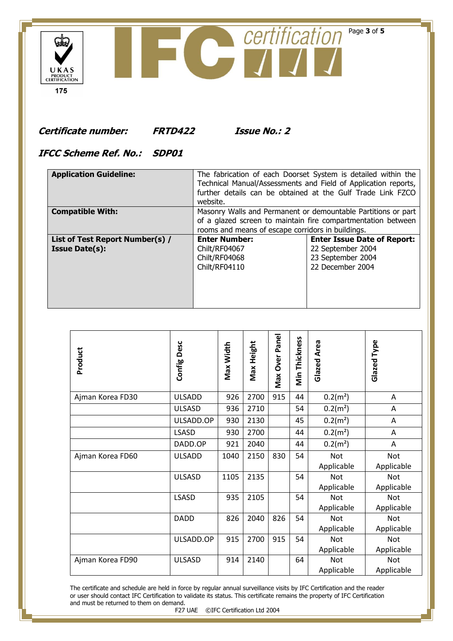

**Certificate number: FRTD422 Issue No.: 2**

## **IFCC Scheme Ref. No.: SDP01**

| <b>Application Guideline:</b>                            | The fabrication of each Doorset System is detailed within the<br>Technical Manual/Assessments and Field of Application reports,<br>further details can be obtained at the Gulf Trade Link FZCO<br>website. |                                                                                                  |  |  |  |
|----------------------------------------------------------|------------------------------------------------------------------------------------------------------------------------------------------------------------------------------------------------------------|--------------------------------------------------------------------------------------------------|--|--|--|
| <b>Compatible With:</b>                                  | Masonry Walls and Permanent or demountable Partitions or part<br>of a glazed screen to maintain fire compartmentation between<br>rooms and means of escape corridors in buildings.                         |                                                                                                  |  |  |  |
| List of Test Report Number(s) /<br><b>Issue Date(s):</b> | <b>Enter Number:</b><br>Chilt/RF04067<br>Chilt/RF04068<br>Chilt/RF04110                                                                                                                                    | <b>Enter Issue Date of Report:</b><br>22 September 2004<br>23 September 2004<br>22 December 2004 |  |  |  |

| Product          | Desc<br>Config | Max Width | Max Height | Max Over Panel | Min Thickness | Glazed Area              | Glazed Type              |
|------------------|----------------|-----------|------------|----------------|---------------|--------------------------|--------------------------|
| Ajman Korea FD30 | <b>ULSADD</b>  | 926       | 2700       | 915            | 44            | $0.2(m^2)$               | Α                        |
|                  | <b>ULSASD</b>  | 936       | 2710       |                | 54            | $0.2(m^2)$               | A                        |
|                  | ULSADD.OP      | 930       | 2130       |                | 45            | $0.2(m^2)$               | Α                        |
|                  | <b>LSASD</b>   | 930       | 2700       |                | 44            | $0.2(m^2)$               | Α                        |
|                  | DADD.OP        | 921       | 2040       |                | 44            | $0.2(m^2)$               | Α                        |
| Ajman Korea FD60 | <b>ULSADD</b>  | 1040      | 2150       | 830            | 54            | <b>Not</b><br>Applicable | <b>Not</b><br>Applicable |
|                  | <b>ULSASD</b>  | 1105      | 2135       |                | 54            | <b>Not</b><br>Applicable | <b>Not</b><br>Applicable |
|                  | LSASD          | 935       | 2105       |                | 54            | <b>Not</b><br>Applicable | <b>Not</b><br>Applicable |
|                  | <b>DADD</b>    | 826       | 2040       | 826            | 54            | <b>Not</b><br>Applicable | <b>Not</b><br>Applicable |
|                  | ULSADD.OP      | 915       | 2700       | 915            | 54            | Not<br>Applicable        | <b>Not</b><br>Applicable |
| Ajman Korea FD90 | <b>ULSASD</b>  | 914       | 2140       |                | 64            | Not<br>Applicable        | <b>Not</b><br>Applicable |

The certificate and schedule are held in force by regular annual surveillance visits by IFC Certification and the reader or user should contact IFC Certification to validate its status. This certificate remains the property of IFC Certification and must be returned to them on demand.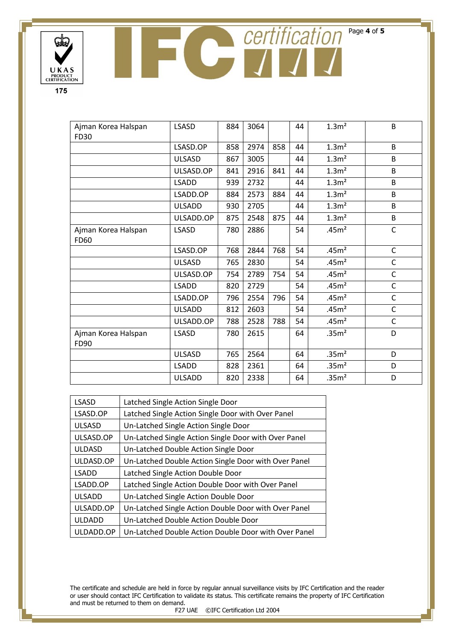

PRODUCT<br>CERTIFICATION 175

UKAS

بيان

| Ajman Korea Halspan                | <b>LSASD</b>  | 884 | 3064 |     | 44 | 1.3 <sup>m</sup>  | B            |
|------------------------------------|---------------|-----|------|-----|----|-------------------|--------------|
| FD30                               |               |     |      |     |    |                   |              |
|                                    | LSASD.OP      | 858 | 2974 | 858 | 44 | 1.3 <sup>n²</sup> | B            |
|                                    | <b>ULSASD</b> | 867 | 3005 |     | 44 | 1.3 <sup>2</sup>  | B            |
|                                    | ULSASD.OP     | 841 | 2916 | 841 | 44 | 1.3 <sup>2</sup>  | B            |
|                                    | <b>LSADD</b>  | 939 | 2732 |     | 44 | 1.3 <sup>n</sup>  | B            |
|                                    | LSADD.OP      | 884 | 2573 | 884 | 44 | 1.3 <sup>2</sup>  | B            |
|                                    | <b>ULSADD</b> | 930 | 2705 |     | 44 | 1.3 <sup>2</sup>  | B            |
|                                    | ULSADD.OP     | 875 | 2548 | 875 | 44 | 1.3 <sup>n</sup>  | B            |
| Ajman Korea Halspan<br><b>FD60</b> | <b>LSASD</b>  | 780 | 2886 |     | 54 | .45m <sup>2</sup> | $\mathsf{C}$ |
|                                    | LSASD.OP      | 768 | 2844 | 768 | 54 | .45 <sup>2</sup>  | $\mathsf C$  |
|                                    | <b>ULSASD</b> | 765 | 2830 |     | 54 | .45m <sup>2</sup> | $\mathsf{C}$ |
|                                    | ULSASD.OP     | 754 | 2789 | 754 | 54 | .45m <sup>2</sup> | C            |
|                                    | <b>LSADD</b>  | 820 | 2729 |     | 54 | .45m <sup>2</sup> | $\mathsf C$  |
|                                    | LSADD.OP      | 796 | 2554 | 796 | 54 | .45 <sup>2</sup>  | $\mathsf{C}$ |
|                                    | <b>ULSADD</b> | 812 | 2603 |     | 54 | .45 <sup>2</sup>  | C            |
|                                    | ULSADD.OP     | 788 | 2528 | 788 | 54 | .45m <sup>2</sup> | $\mathsf C$  |
| Ajman Korea Halspan<br>FD90        | <b>LSASD</b>  | 780 | 2615 |     | 64 | .35 <sup>2</sup>  | D            |
|                                    | <b>ULSASD</b> | 765 | 2564 |     | 64 | .35 <sup>2</sup>  | D            |
|                                    | <b>LSADD</b>  | 828 | 2361 |     | 64 | .35 <sup>2</sup>  | D            |
|                                    | <b>ULSADD</b> | 820 | 2338 |     | 64 | .35 <sup>2</sup>  | D            |

| <b>LSASD</b>  | Latched Single Action Single Door                    |
|---------------|------------------------------------------------------|
| LSASD.OP      | Latched Single Action Single Door with Over Panel    |
| <b>ULSASD</b> | Un-Latched Single Action Single Door                 |
| ULSASD.OP     | Un-Latched Single Action Single Door with Over Panel |
| <b>ULDASD</b> | Un-Latched Double Action Single Door                 |
| ULDASD.OP     | Un-Latched Double Action Single Door with Over Panel |
| <b>LSADD</b>  | Latched Single Action Double Door                    |
| LSADD.OP      | Latched Single Action Double Door with Over Panel    |
| <b>ULSADD</b> | Un-Latched Single Action Double Door                 |
| ULSADD.OP     | Un-Latched Single Action Double Door with Over Panel |
| <b>ULDADD</b> | Un-Latched Double Action Double Door                 |
| ULDADD.OP     | Un-Latched Double Action Double Door with Over Panel |

The certificate and schedule are held in force by regular annual surveillance visits by IFC Certification and the reader or user should contact IFC Certification to validate its status. This certificate remains the property of IFC Certification and must be returned to them on demand.